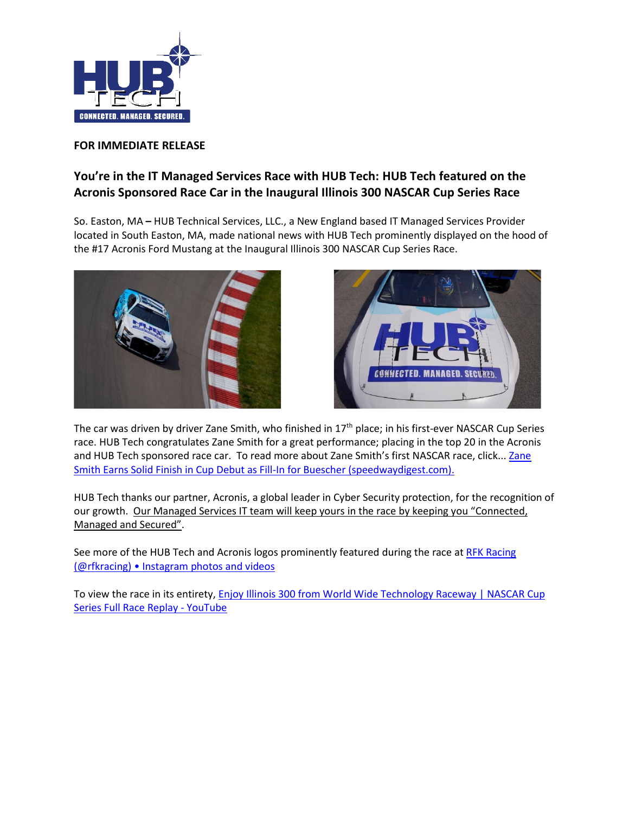

## **FOR IMMEDIATE RELEASE**

## **You're in the IT Managed Services Race with HUB Tech: HUB Tech featured on the Acronis Sponsored Race Car in the Inaugural Illinois 300 NASCAR Cup Series Race**

So. Easton, MA **–** HUB Technical Services, LLC., a New England based IT Managed Services Provider located in South Easton, MA, made national news with HUB Tech prominently displayed on the hood of the #17 Acronis Ford Mustang at the Inaugural Illinois 300 NASCAR Cup Series Race.





The car was driven by driver Zane Smith, who finished in 17<sup>th</sup> place; in his first-ever NASCAR Cup Series race. HUB Tech congratulates Zane Smith for a great performance; placing in the top 20 in the Acronis and HUB Tech sponsored race car. To read more about Zane Smith's first NASCAR race, click... Zane Smith Earns Solid Finish in Cup Debut as Fill-In for Buescher (speedwaydigest.com).

HUB Tech thanks our partner, Acronis, a global leader in Cyber Security protection, for the recognition of our growth. Our Managed Services IT team will keep yours in the race by keeping you "Connected, Managed and Secured".

See more of the HUB Tech and Acronis logos prominently featured during the race at RFK Racing (@rfkracing) • Instagram photos and videos

To view the race in its entirety, Enjoy Illinois 300 from World Wide Technology Raceway | NASCAR Cup Series Full Race Replay - YouTube